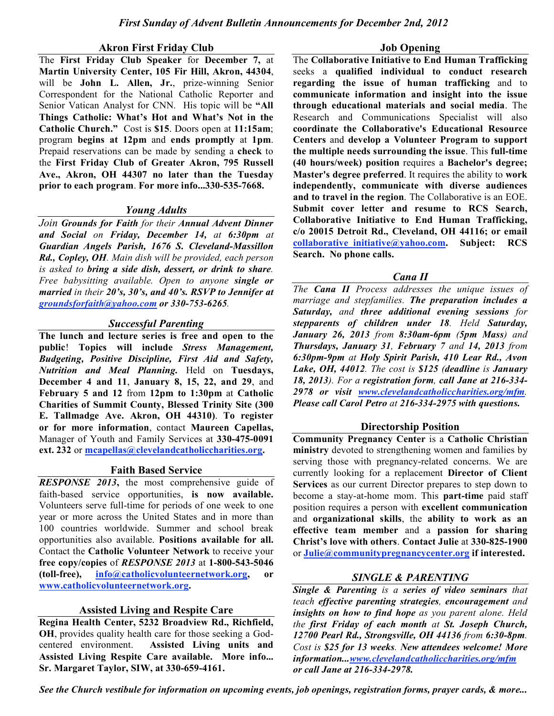#### **Akron First Friday Club**

The **First Friday Club Speaker** for **December 7,** at **Martin University Center, 105 Fir Hill, Akron, 44304**, will be **John L. Allen, Jr.**, prize-winning Senior Correspondent for the National Catholic Reporter and Senior Vatican Analyst for CNN. His topic will be **"All Things Catholic: What's Hot and What's Not in the Catholic Church."** Cost is **\$15**. Doors open at **11:15am**; program **begins at 12pm** and **ends promptly** at **1pm**. Prepaid reservations can be made by sending a **check** to the **First Friday Club of Greater Akron, 795 Russell Ave., Akron, OH 44307 no later than the Tuesday prior to each program**. **For more info...330-535-7668.**

#### *Young Adults*

*Join Grounds for Faith for their Annual Advent Dinner and Social on Friday, December 14, at 6:30pm at Guardian Angels Parish, 1676 S. Cleveland-Massillon Rd., Copley, OH. Main dish will be provided, each person is asked to bring a side dish, dessert, or drink to share. Free babysitting available. Open to anyone single or married in their 20's, 30's, and 40's. RSVP to Jennifer at groundsforfaith@yahoo.com or 330-753-6265.*

## *Successful Parenting*

**The lunch and lecture series is free and open to the public**! **Topics will include** *Stress Management, Budgeting, Positive Discipline, First Aid and Safety, Nutrition and Meal Planning.* Held on **Tuesdays, December 4 and 11**, **January 8, 15, 22, and 29**, and **February 5 and 12** from **12pm to 1:30pm** at **Catholic Charities of Summit County, Blessed Trinity Site (300 E. Tallmadge Ave. Akron, OH 44310)**. **To register or for more information**, contact **Maureen Capellas,** Manager of Youth and Family Services at **330-475-0091 ext. 232** or **mcapellas@clevelandcatholiccharities.org.**

#### **Faith Based Service**

*RESPONSE 2013***,** the most comprehensive guide of faith-based service opportunities, **is now available.** Volunteers serve full-time for periods of one week to one year or more across the United States and in more than 100 countries worldwide. Summer and school break opportunities also available. **Positions available for all.** Contact the **Catholic Volunteer Network** to receive your **free copy/copies** of *RESPONSE 2013* at **1-800-543-5046 (toll-free), info@catholicvolunteernetwork.org, or www.catholicvolunteernetwork.org.**

# **Assisted Living and Respite Care**

**Regina Health Center, 5232 Broadview Rd., Richfield, OH**, provides quality health care for those seeking a Godcentered environment. **Assisted Living units and Assisted Living Respite Care available. More info... Sr. Margaret Taylor, SIW, at 330-659-4161.**

**Job Opening**

The **Collaborative Initiative to End Human Trafficking** seeks a **qualified individual to conduct research regarding the issue of human trafficking** and to **communicate information and insight into the issue through educational materials and social media**. The Research and Communications Specialist will also **coordinate the Collaborative's Educational Resource Centers** and **develop a Volunteer Program to support the multiple needs surrounding the issue**. This **full-time (40 hours/week) position** requires a **Bachelor's degree; Master's degree preferred**. It requires the ability to **work independently, communicate with diverse audiences and to travel in the region**. The Collaborative is an EOE. **Submit cover letter and resume to RCS Search, Collaborative Initiative to End Human Trafficking, c/o 20015 Detroit Rd., Cleveland, OH 44116; or email collaborative\_initiative@yahoo.com. Subject: RCS Search. No phone calls.**

#### *Cana II*

*The Cana II Process addresses the unique issues of marriage and stepfamilies. The preparation includes a Saturday, and three additional evening sessions for stepparents of children under 18. Held Saturday, January 26, 2013 from 8:30am-6pm (5pm Mass) and Thursdays, January 31, February 7 and 14, 2013 from 6:30pm-9pm at Holy Spirit Parish, 410 Lear Rd., Avon Lake, OH, 44012. The cost is \$125 (deadline is January 18, 2013). For a registration form, call Jane at 216-334- 2978 or visit www.clevelandcatholiccharities.org/mfm. Please call Carol Petro at 216-334-2975 with questions.*

# **Directorship Position**

**Community Pregnancy Center** is a **Catholic Christian ministry** devoted to strengthening women and families by serving those with pregnancy-related concerns. We are currently looking for a replacement **Director of Client Services** as our current Director prepares to step down to become a stay-at-home mom. This **part-time** paid staff position requires a person with **excellent communication**  and **organizational skills**, the **ability to work as an effective team member** and a **passion for sharing Christ's love with others**. **Contact Julie** at **330-825-1900** or **Julie@communitypregnancycenter.org if interested.**

# *SINGLE & PARENTING*

*Single & Parenting is a series of video seminars that teach effective parenting strategies, encouragement and insights on how to find hope as you parent alone. Held the first Friday of each month at St. Joseph Church, 12700 Pearl Rd., Strongsville, OH 44136 from 6:30-8pm. Cost is \$25 for 13 weeks. New attendees welcome! More information...www.clevelandcatholiccharities.org/mfm or call Jane at 216-334-2978.*

*See the Church vestibule for information on upcoming events, job openings, registration forms, prayer cards, & more...*